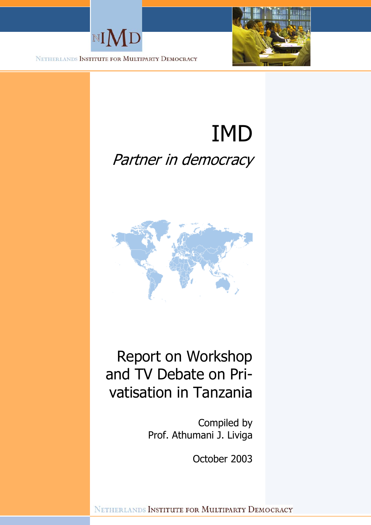



NETHERLANDS INSTITUTE FOR MULTIPARTY DEMOCRACY

# IMD Partner in democracy



# Report on Workshop and TV Debate on Privatisation in Tanzania

Compiled by Prof. Athumani J. Liviga

October 2003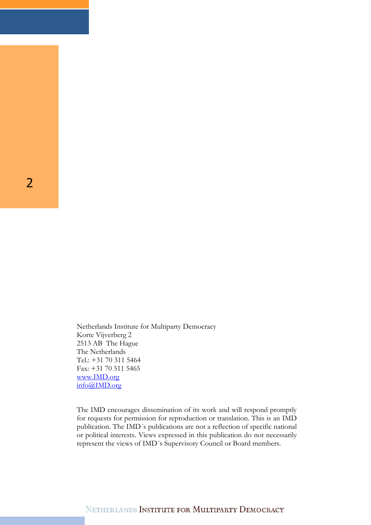Netherlands Institute for Multiparty Democracy Korte Vijverberg 2 2513 AB The Hague The Netherlands Tel.: +31 70 311 5464 Fax: +31 70 511 5465 www.IMD.org info@IMD.org

The IMD encourages dissemination of its work and will respond promptly for requests for permission for reproduction or translation. This is an IMD publication. The IMD´s publications are not a reflection of specific national or political interests. Views expressed in this publication do not necessarily represent the views of IMD´s Supervisory Council or Board members.

2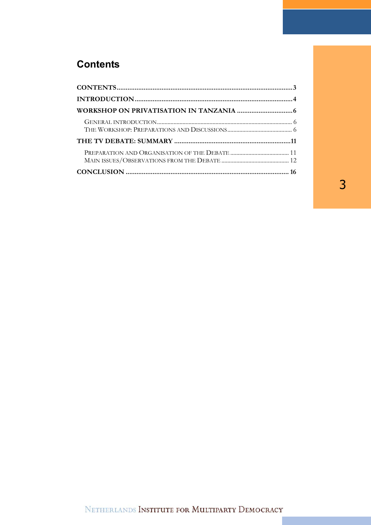# **Contents**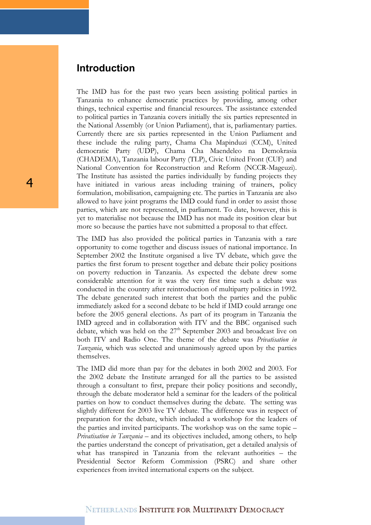### **Introduction**

The IMD has for the past two years been assisting political parties in Tanzania to enhance democratic practices by providing, among other things, technical expertise and financial resources. The assistance extended to political parties in Tanzania covers initially the six parties represented in the National Assembly (or Union Parliament), that is, parliamentary parties. Currently there are six parties represented in the Union Parliament and these include the ruling party, Chama Cha Mapinduzi (CCM), United democratic Party (UDP), Chama Cha Maendeleo na Demokrasia (CHADEMA), Tanzania labour Party (TLP), Civic United Front (CUF) and National Convention for Reconstruction and Reform (NCCR-Mageuzi). The Institute has assisted the parties individually by funding projects they have initiated in various areas including training of trainers, policy formulation, mobilisation, campaigning etc. The parties in Tanzania are also allowed to have joint programs the IMD could fund in order to assist those parties, which are not represented, in parliament. To date, however, this is yet to materialise not because the IMD has not made its position clear but more so because the parties have not submitted a proposal to that effect.

The IMD has also provided the political parties in Tanzania with a rare opportunity to come together and discuss issues of national importance. In September 2002 the Institute organised a live TV debate, which gave the parties the first forum to present together and debate their policy positions on poverty reduction in Tanzania. As expected the debate drew some considerable attention for it was the very first time such a debate was conducted in the country after reintroduction of multiparty politics in 1992. The debate generated such interest that both the parties and the public immediately asked for a second debate to be held if IMD could arrange one before the 2005 general elections. As part of its program in Tanzania the IMD agreed and in collaboration with ITV and the BBC organised such debate, which was held on the  $27<sup>th</sup>$  September 2003 and broadcast live on both ITV and Radio One. The theme of the debate was *Privatisation in Tanzania*, which was selected and unanimously agreed upon by the parties themselves.

The IMD did more than pay for the debates in both 2002 and 2003. For the 2002 debate the Institute arranged for all the parties to be assisted through a consultant to first, prepare their policy positions and secondly, through the debate moderator held a seminar for the leaders of the political parties on how to conduct themselves during the debate. The setting was slightly different for 2003 live TV debate. The difference was in respect of preparation for the debate, which included a workshop for the leaders of the parties and invited participants. The workshop was on the same topic – *Privatisation in Tanzania* – and its objectives included, among others, to help the parties understand the concept of privatisation, get a detailed analysis of what has transpired in Tanzania from the relevant authorities – the Presidential Sector Reform Commission (PSRC) and share other experiences from invited international experts on the subject.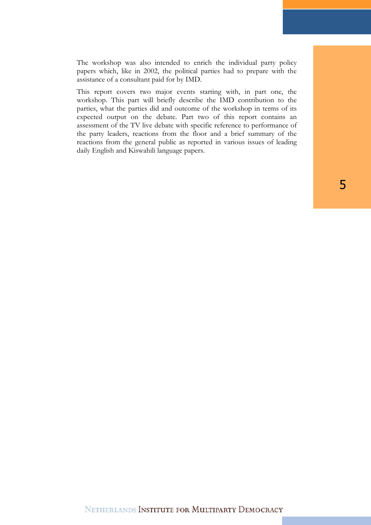The workshop was also intended to enrich the individual party policy papers which, like in 2002, the political parties had to prepare with the assistance of a consultant paid for by IMD.

This report covers two major events starting with, in part one, the workshop. This part will briefly describe the IMD contribution to the parties, what the parties did and outcome of the workshop in terms of its expected output on the debate. Part two of this report contains an assessment of the TV live debate with specific reference to performance of the party leaders, reactions from the floor and a brief summary of the reactions from the general public as reported in various issues of leading daily English and Kiswahili language papers.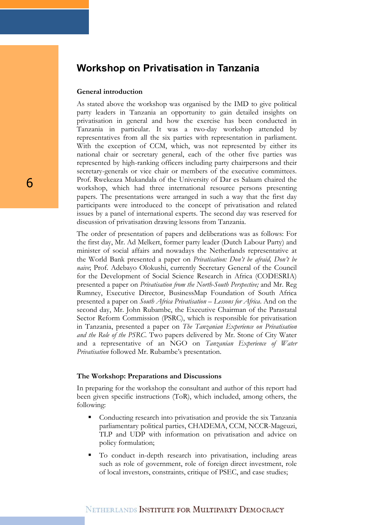### **Workshop on Privatisation in Tanzania**

### **General introduction**

As stated above the workshop was organised by the IMD to give political party leaders in Tanzania an opportunity to gain detailed insights on privatisation in general and how the exercise has been conducted in Tanzania in particular. It was a two-day workshop attended by representatives from all the six parties with representation in parliament. With the exception of CCM, which, was not represented by either its national chair or secretary general, each of the other five parties was represented by high-ranking officers including party chairpersons and their secretary-generals or vice chair or members of the executive committees. Prof. Rwekeaza Mukandala of the University of Dar es Salaam chaired the workshop, which had three international resource persons presenting papers. The presentations were arranged in such a way that the first day participants were introduced to the concept of privatisation and related issues by a panel of international experts. The second day was reserved for discussion of privatisation drawing lessons from Tanzania.

The order of presentation of papers and deliberations was as follows: For the first day, Mr. Ad Melkert, former party leader (Dutch Labour Party) and minister of social affairs and nowadays the Netherlands representative at the World Bank presented a paper on *Privatisation: Don't be afraid, Don't be naive*; Prof. Adebayo Olokushi, currently Secretary General of the Council for the Development of Social Science Research in Africa (CODESRIA) presented a paper on *Privatisation from the North-South Perspective;* and Mr. Reg Rumney, Executive Director, BusinessMap Foundation of South Africa presented a paper on *South Africa Privatisation – Lessons for Africa*. And on the second day, Mr. John Rubambe, the Executive Chairman of the Parastatal Sector Reform Commission (PSRC), which is responsible for privatisation in Tanzania, presented a paper on *The Tanzanian Experience on Privatisation and the Role of the PSRC*. Two papers delivered by Mr. Stone of City Water and a representative of an NGO on *Tanzanian Experience of Water Privatisation* followed Mr. Rubambe's presentation.

#### **The Workshop: Preparations and Discussions**

In preparing for the workshop the consultant and author of this report had been given specific instructions (ToR), which included, among others, the following:

- Conducting research into privatisation and provide the six Tanzania parliamentary political parties, CHADEMA, CCM, NCCR-Mageuzi, TLP and UDP with information on privatisation and advice on policy formulation;
- To conduct in-depth research into privatisation, including areas such as role of government, role of foreign direct investment, role of local investors, constraints, critique of PSEC, and case studies;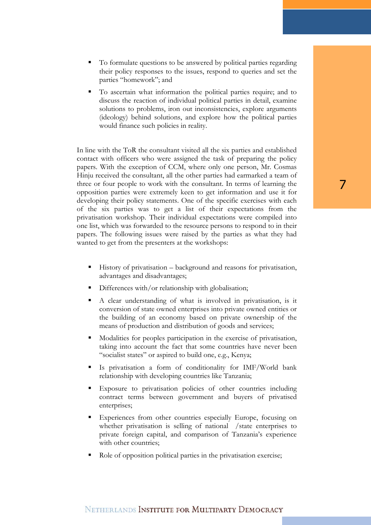- To formulate questions to be answered by political parties regarding their policy responses to the issues, respond to queries and set the parties "homework"; and
- To ascertain what information the political parties require; and to discuss the reaction of individual political parties in detail, examine solutions to problems, iron out inconsistencies, explore arguments (ideology) behind solutions, and explore how the political parties would finance such policies in reality.

In line with the ToR the consultant visited all the six parties and established contact with officers who were assigned the task of preparing the policy papers. With the exception of CCM, where only one person, Mr. Cosmas Hinju received the consultant, all the other parties had earmarked a team of three or four people to work with the consultant. In terms of learning the opposition parties were extremely keen to get information and use it for developing their policy statements. One of the specific exercises with each of the six parties was to get a list of their expectations from the privatisation workshop. Their individual expectations were compiled into one list, which was forwarded to the resource persons to respond to in their papers. The following issues were raised by the parties as what they had wanted to get from the presenters at the workshops:

- History of privatisation background and reasons for privatisation, advantages and disadvantages;
- Differences with/or relationship with globalisation;
- A clear understanding of what is involved in privatisation, is it conversion of state owned enterprises into private owned entities or the building of an economy based on private ownership of the means of production and distribution of goods and services;
- Modalities for peoples participation in the exercise of privatisation, taking into account the fact that some countries have never been "socialist states" or aspired to build one, e.g., Kenya;
- Is privatisation a form of conditionality for IMF/World bank relationship with developing countries like Tanzania;
- Exposure to privatisation policies of other countries including contract terms between government and buyers of privatised enterprises;
- Experiences from other countries especially Europe, focusing on whether privatisation is selling of national /state enterprises to private foreign capital, and comparison of Tanzania's experience with other countries;
- Role of opposition political parties in the privatisation exercise;

# 7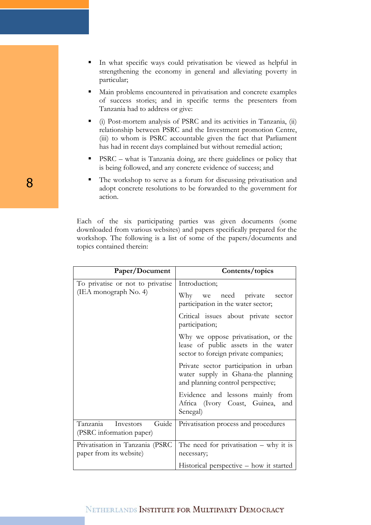- In what specific ways could privatisation be viewed as helpful in strengthening the economy in general and alleviating poverty in particular;
- Main problems encountered in privatisation and concrete examples of success stories; and in specific terms the presenters from Tanzania had to address or give:
- (i) Post-mortem analysis of PSRC and its activities in Tanzania, (ii) relationship between PSRC and the Investment promotion Centre, (iii) to whom is PSRC accountable given the fact that Parliament has had in recent days complained but without remedial action;
- PSRC what is Tanzania doing, are there guidelines or policy that is being followed, and any concrete evidence of success; and
- The workshop to serve as a forum for discussing privatisation and adopt concrete resolutions to be forwarded to the government for action.

Each of the six participating parties was given documents (some downloaded from various websites) and papers specifically prepared for the workshop. The following is a list of some of the papers/documents and topics contained therein:

| Paper/Document                                             | Contents/topics                                                                                                    |
|------------------------------------------------------------|--------------------------------------------------------------------------------------------------------------------|
| To privatise or not to privatise<br>(IEA monograph No. 4)  | Introduction;                                                                                                      |
|                                                            | Why we need private<br>sector<br>participation in the water sector;                                                |
|                                                            | Critical issues about private sector<br>participation;                                                             |
|                                                            | Why we oppose privatisation, or the<br>lease of public assets in the water<br>sector to foreign private companies; |
|                                                            | Private sector participation in urban<br>water supply in Ghana-the planning<br>and planning control perspective;   |
|                                                            | Evidence and lessons mainly from<br>Africa (Ivory Coast, Guinea,<br>and<br>Senegal)                                |
| Tanzania<br>Guide<br>Investors<br>(PSRC information paper) | Privatisation process and procedures                                                                               |
| Privatisation in Tanzania (PSRC                            | The need for privatisation $-$ why it is                                                                           |
| paper from its website)                                    | necessary;                                                                                                         |
|                                                            | Historical perspective – how it started                                                                            |

8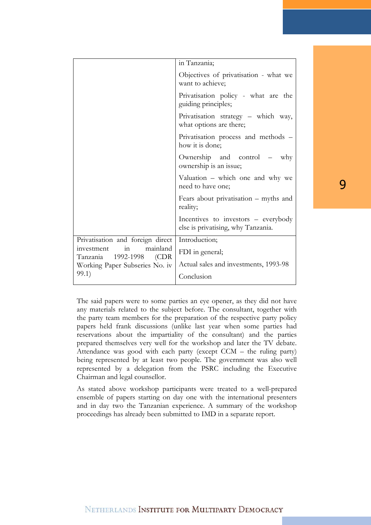|                                                                                                                                               | in Tanzania;                                                              |
|-----------------------------------------------------------------------------------------------------------------------------------------------|---------------------------------------------------------------------------|
|                                                                                                                                               | Objectives of privatisation - what we<br>want to achieve;                 |
|                                                                                                                                               | Privatisation policy - what are the<br>guiding principles;                |
|                                                                                                                                               | Privatisation strategy - which way,<br>what options are there;            |
|                                                                                                                                               | Privatisation process and methods -<br>how it is done;                    |
|                                                                                                                                               | Ownership and control –<br>why<br>ownership is an issue;                  |
|                                                                                                                                               | Valuation – which one and why we<br>need to have one;                     |
|                                                                                                                                               | Fears about privatisation – myths and<br>reality;                         |
|                                                                                                                                               | Incentives to investors – everybody<br>else is privatising, why Tanzania. |
| Privatisation and foreign direct<br>mainland<br>in<br>investment<br>1992-1998<br>Tanzania<br>(CDR)<br>Working Paper Subseries No. iv<br>99.1) | Introduction;                                                             |
|                                                                                                                                               | FDI in general;                                                           |
|                                                                                                                                               | Actual sales and investments, 1993-98                                     |
|                                                                                                                                               | Conclusion                                                                |

The said papers were to some parties an eye opener, as they did not have any materials related to the subject before. The consultant, together with the party team members for the preparation of the respective party policy papers held frank discussions (unlike last year when some parties had reservations about the impartiality of the consultant) and the parties prepared themselves very well for the workshop and later the TV debate. Attendance was good with each party (except CCM – the ruling party) being represented by at least two people. The government was also well represented by a delegation from the PSRC including the Executive Chairman and legal counsellor.

As stated above workshop participants were treated to a well-prepared ensemble of papers starting on day one with the international presenters and in day two the Tanzanian experience. A summary of the workshop proceedings has already been submitted to IMD in a separate report.

# 9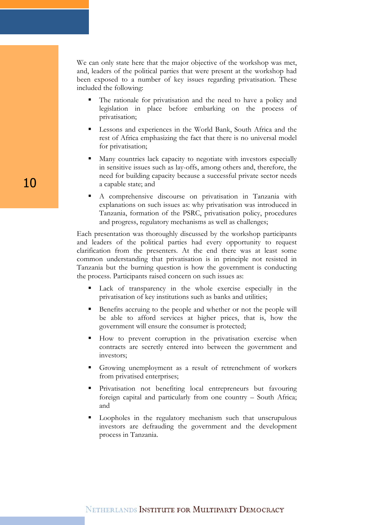We can only state here that the major objective of the workshop was met, and, leaders of the political parties that were present at the workshop had been exposed to a number of key issues regarding privatisation. These included the following:

- The rationale for privatisation and the need to have a policy and legislation in place before embarking on the process of privatisation;
- Lessons and experiences in the World Bank, South Africa and the rest of Africa emphasizing the fact that there is no universal model for privatisation;
- Many countries lack capacity to negotiate with investors especially in sensitive issues such as lay-offs, among others and, therefore, the need for building capacity because a successful private sector needs a capable state; and
- A comprehensive discourse on privatisation in Tanzania with explanations on such issues as: why privatisation was introduced in Tanzania, formation of the PSRC, privatisation policy, procedures and progress, regulatory mechanisms as well as challenges;

Each presentation was thoroughly discussed by the workshop participants and leaders of the political parties had every opportunity to request clarification from the presenters. At the end there was at least some common understanding that privatisation is in principle not resisted in Tanzania but the burning question is how the government is conducting the process. Participants raised concern on such issues as:

- Lack of transparency in the whole exercise especially in the privatisation of key institutions such as banks and utilities;
- Benefits accruing to the people and whether or not the people will be able to afford services at higher prices, that is, how the government will ensure the consumer is protected;
- How to prevent corruption in the privatisation exercise when contracts are secretly entered into between the government and investors;
- Growing unemployment as a result of retrenchment of workers from privatised enterprises;
- Privatisation not benefiting local entrepreneurs but favouring foreign capital and particularly from one country – South Africa; and
- Loopholes in the regulatory mechanism such that unscrupulous investors are defrauding the government and the development process in Tanzania.

10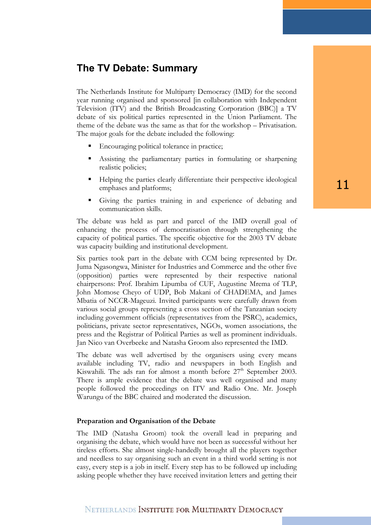# **The TV Debate: Summary**

The Netherlands Institute for Multiparty Democracy (IMD) for the second year running organised and sponsored [in collaboration with Independent Television (ITV) and the British Broadcasting Corporation (BBC)] a TV debate of six political parties represented in the Union Parliament. The theme of the debate was the same as that for the workshop – Privatisation. The major goals for the debate included the following:

- Encouraging political tolerance in practice;
- Assisting the parliamentary parties in formulating or sharpening realistic policies;
- Helping the parties clearly differentiate their perspective ideological emphases and platforms;
- Giving the parties training in and experience of debating and communication skills.

The debate was held as part and parcel of the IMD overall goal of enhancing the process of democratisation through strengthening the capacity of political parties. The specific objective for the 2003 TV debate was capacity building and institutional development.

Six parties took part in the debate with CCM being represented by Dr. Juma Ngasongwa, Minister for Industries and Commerce and the other five (opposition) parties were represented by their respective national chairpersons: Prof. Ibrahim Lipumba of CUF, Augustine Mrema of TLP, John Momose Cheyo of UDP, Bob Makani of CHADEMA, and James Mbatia of NCCR-Mageuzi. Invited participants were carefully drawn from various social groups representing a cross section of the Tanzanian society including government officials (representatives from the PSRC), academics, politicians, private sector representatives, NGOs, women associations, the press and the Registrar of Political Parties as well as prominent individuals. Jan Nico van Overbeeke and Natasha Groom also represented the IMD.

The debate was well advertised by the organisers using every means available including TV, radio and newspapers in both English and Kiswahili. The ads ran for almost a month before 27<sup>th</sup> September 2003. There is ample evidence that the debate was well organised and many people followed the proceedings on ITV and Radio One. Mr. Joseph Warungu of the BBC chaired and moderated the discussion.

### **Preparation and Organisation of the Debate**

The IMD (Natasha Groom) took the overall lead in preparing and organising the debate, which would have not been as successful without her tireless efforts. She almost single-handedly brought all the players together and needless to say organising such an event in a third world setting is not easy, every step is a job in itself. Every step has to be followed up including asking people whether they have received invitation letters and getting their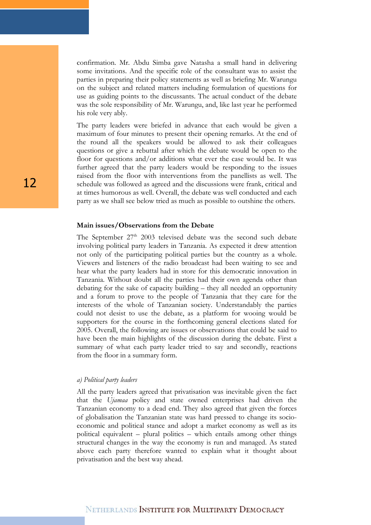confirmation. Mr. Abdu Simba gave Natasha a small hand in delivering some invitations. And the specific role of the consultant was to assist the parties in preparing their policy statements as well as briefing Mr. Warungu on the subject and related matters including formulation of questions for use as guiding points to the discussants. The actual conduct of the debate was the sole responsibility of Mr. Warungu, and, like last year he performed his role very ably.

The party leaders were briefed in advance that each would be given a maximum of four minutes to present their opening remarks. At the end of the round all the speakers would be allowed to ask their colleagues questions or give a rebuttal after which the debate would be open to the floor for questions and/or additions what ever the case would be. It was further agreed that the party leaders would be responding to the issues raised from the floor with interventions from the panellists as well. The schedule was followed as agreed and the discussions were frank, critical and at times humorous as well. Overall, the debate was well conducted and each party as we shall see below tried as much as possible to outshine the others.

#### **Main issues/Observations from the Debate**

The September  $27<sup>th</sup>$  2003 televised debate was the second such debate involving political party leaders in Tanzania. As expected it drew attention not only of the participating political parties but the country as a whole. Viewers and listeners of the radio broadcast had been waiting to see and hear what the party leaders had in store for this democratic innovation in Tanzania. Without doubt all the parties had their own agenda other than debating for the sake of capacity building – they all needed an opportunity and a forum to prove to the people of Tanzania that they care for the interests of the whole of Tanzanian society. Understandably the parties could not desist to use the debate, as a platform for wooing would be supporters for the course in the forthcoming general elections slated for 2005. Overall, the following are issues or observations that could be said to have been the main highlights of the discussion during the debate. First a summary of what each party leader tried to say and secondly, reactions from the floor in a summary form.

#### *a) Political party leaders*

All the party leaders agreed that privatisation was inevitable given the fact that the *Ujamaa* policy and state owned enterprises had driven the Tanzanian economy to a dead end. They also agreed that given the forces of globalisation the Tanzanian state was hard pressed to change its socioeconomic and political stance and adopt a market economy as well as its political equivalent – plural politics – which entails among other things structural changes in the way the economy is run and managed. As stated above each party therefore wanted to explain what it thought about privatisation and the best way ahead.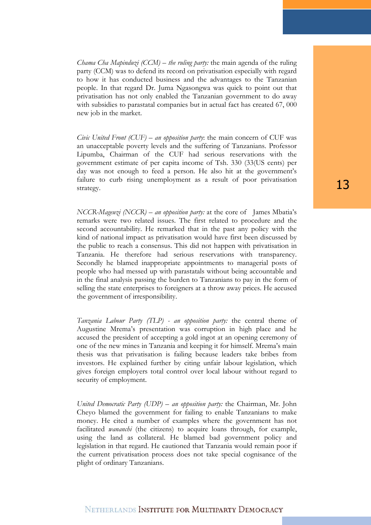*Chama Cha Mapinduzi (CCM) – the ruling party:* the main agenda of the ruling party (CCM) was to defend its record on privatisation especially with regard to how it has conducted business and the advantages to the Tanzanian people. In that regard Dr. Juma Ngasongwa was quick to point out that privatisation has not only enabled the Tanzanian government to do away with subsidies to parastatal companies but in actual fact has created 67, 000 new job in the market.

*Civic United Front (CUF) – an opposition party*: the main concern of CUF was an unacceptable poverty levels and the suffering of Tanzanians. Professor Lipumba, Chairman of the CUF had serious reservations with the government estimate of per capita income of Tsh. 330 (33(US cents) per day was not enough to feed a person. He also hit at the government's failure to curb rising unemployment as a result of poor privatisation strategy.

*NCCR-Mageuzi (NCCR) – an opposition party:* at the core of James Mbatia's remarks were two related issues. The first related to procedure and the second accountability. He remarked that in the past any policy with the kind of national impact as privatisation would have first been discussed by the public to reach a consensus. This did not happen with privatisation in Tanzania. He therefore had serious reservations with transparency. Secondly he blamed inappropriate appointments to managerial posts of people who had messed up with parastatals without being accountable and in the final analysis passing the burden to Tanzanians to pay in the form of selling the state enterprises to foreigners at a throw away prices. He accused the government of irresponsibility.

*Tanzania Labour Party (TLP) - an opposition party:* the central theme of Augustine Mrema's presentation was corruption in high place and he accused the president of accepting a gold ingot at an opening ceremony of one of the new mines in Tanzania and keeping it for himself. Mrema's main thesis was that privatisation is failing because leaders take bribes from investors. He explained further by citing unfair labour legislation, which gives foreign employers total control over local labour without regard to security of employment.

*United Democratic Party (UDP) – an opposition party:* the Chairman, Mr. John Cheyo blamed the government for failing to enable Tanzanians to make money. He cited a number of examples where the government has not facilitated *wananchi* (the citizens) to acquire loans through, for example, using the land as collateral. He blamed bad government policy and legislation in that regard. He cautioned that Tanzania would remain poor if the current privatisation process does not take special cognisance of the plight of ordinary Tanzanians.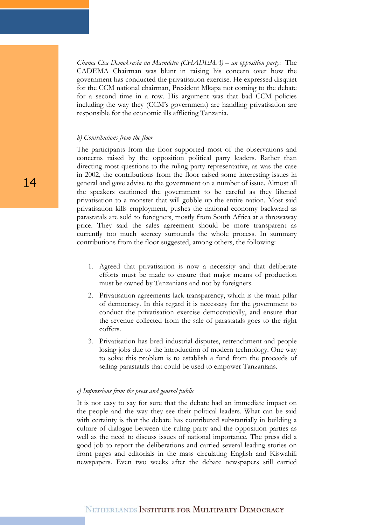*Chama Cha Demokrasia na Maendeleo (CHADEMA) – an opposition party*: The CADEMA Chairman was blunt in raising his concern over how the government has conducted the privatisation exercise. He expressed disquiet for the CCM national chairman, President Mkapa not coming to the debate for a second time in a row. His argument was that bad CCM policies including the way they (CCM's government) are handling privatisation are responsible for the economic ills afflicting Tanzania.

#### *b) Contributions from the floor*

The participants from the floor supported most of the observations and concerns raised by the opposition political party leaders. Rather than directing most questions to the ruling party representative, as was the case in 2002, the contributions from the floor raised some interesting issues in general and gave advise to the government on a number of issue. Almost all the speakers cautioned the government to be careful as they likened privatisation to a monster that will gobble up the entire nation. Most said privatisation kills employment, pushes the national economy backward as parastatals are sold to foreigners, mostly from South Africa at a throwaway price. They said the sales agreement should be more transparent as currently too much secrecy surrounds the whole process. In summary contributions from the floor suggested, among others, the following:

- 1. Agreed that privatisation is now a necessity and that deliberate efforts must be made to ensure that major means of production must be owned by Tanzanians and not by foreigners.
- 2. Privatisation agreements lack transparency, which is the main pillar of democracy. In this regard it is necessary for the government to conduct the privatisation exercise democratically, and ensure that the revenue collected from the sale of parastatals goes to the right coffers.
- 3. Privatisation has bred industrial disputes, retrenchment and people losing jobs due to the introduction of modern technology. One way to solve this problem is to establish a fund from the proceeds of selling parastatals that could be used to empower Tanzanians.

#### *c) Impressions from the press and general public*

It is not easy to say for sure that the debate had an immediate impact on the people and the way they see their political leaders. What can be said with certainty is that the debate has contributed substantially in building a culture of dialogue between the ruling party and the opposition parties as well as the need to discuss issues of national importance. The press did a good job to report the deliberations and carried several leading stories on front pages and editorials in the mass circulating English and Kiswahili newspapers. Even two weeks after the debate newspapers still carried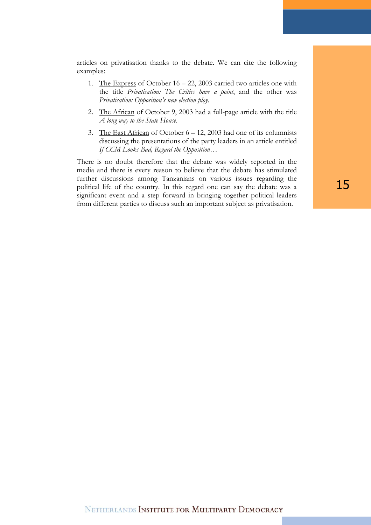articles on privatisation thanks to the debate. We can cite the following examples:

- 1. The Express of October 16 22, 2003 carried two articles one with the title *Privatisation: The Critics have a point*, and the other was *Privatisation: Opposition's new election ploy*.
- 2. The African of October 9, 2003 had a full-page article with the title *A long way to the State House*.
- 3. The East African of October  $6 12$ , 2003 had one of its columnists discussing the presentations of the party leaders in an article entitled *If CCM Looks Bad, Regard the Opposition*…

There is no doubt therefore that the debate was widely reported in the media and there is every reason to believe that the debate has stimulated further discussions among Tanzanians on various issues regarding the political life of the country. In this regard one can say the debate was a significant event and a step forward in bringing together political leaders from different parties to discuss such an important subject as privatisation.